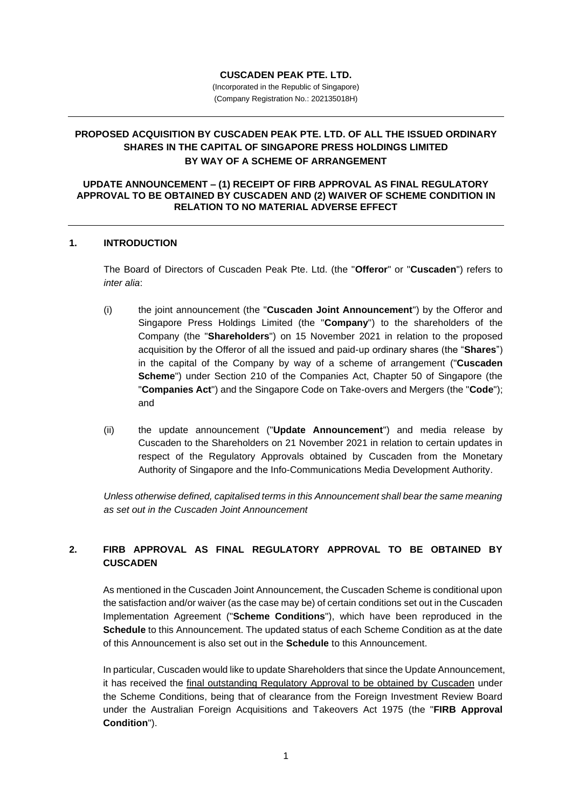#### **CUSCADEN PEAK PTE. LTD.**

(Incorporated in the Republic of Singapore) (Company Registration No.: 202135018H)

# **PROPOSED ACQUISITION BY CUSCADEN PEAK PTE. LTD. OF ALL THE ISSUED ORDINARY SHARES IN THE CAPITAL OF SINGAPORE PRESS HOLDINGS LIMITED BY WAY OF A SCHEME OF ARRANGEMENT**

#### **UPDATE ANNOUNCEMENT – (1) RECEIPT OF FIRB APPROVAL AS FINAL REGULATORY APPROVAL TO BE OBTAINED BY CUSCADEN AND (2) WAIVER OF SCHEME CONDITION IN RELATION TO NO MATERIAL ADVERSE EFFECT**

#### **1. INTRODUCTION**

The Board of Directors of Cuscaden Peak Pte. Ltd. (the "**Offeror**" or "**Cuscaden**") refers to *inter alia*:

- (i) the joint announcement (the "**Cuscaden Joint Announcement**") by the Offeror and Singapore Press Holdings Limited (the "**Company**") to the shareholders of the Company (the "**Shareholders**") on 15 November 2021 in relation to the proposed acquisition by the Offeror of all the issued and paid-up ordinary shares (the "**Shares**") in the capital of the Company by way of a scheme of arrangement ("**Cuscaden Scheme**") under Section 210 of the Companies Act, Chapter 50 of Singapore (the "**Companies Act**") and the Singapore Code on Take-overs and Mergers (the "**Code**"); and
- (ii) the update announcement ("**Update Announcement**") and media release by Cuscaden to the Shareholders on 21 November 2021 in relation to certain updates in respect of the Regulatory Approvals obtained by Cuscaden from the Monetary Authority of Singapore and the Info-Communications Media Development Authority.

*Unless otherwise defined, capitalised terms in this Announcement shall bear the same meaning as set out in the Cuscaden Joint Announcement*

## **2. FIRB APPROVAL AS FINAL REGULATORY APPROVAL TO BE OBTAINED BY CUSCADEN**

As mentioned in the Cuscaden Joint Announcement, the Cuscaden Scheme is conditional upon the satisfaction and/or waiver (as the case may be) of certain conditions set out in the Cuscaden Implementation Agreement ("**Scheme Conditions**"), which have been reproduced in the **Schedule** to this Announcement. The updated status of each Scheme Condition as at the date of this Announcement is also set out in the **Schedule** to this Announcement.

In particular, Cuscaden would like to update Shareholders that since the Update Announcement, it has received the final outstanding Regulatory Approval to be obtained by Cuscaden under the Scheme Conditions, being that of clearance from the Foreign Investment Review Board under the Australian Foreign Acquisitions and Takeovers Act 1975 (the "**FIRB Approval Condition**").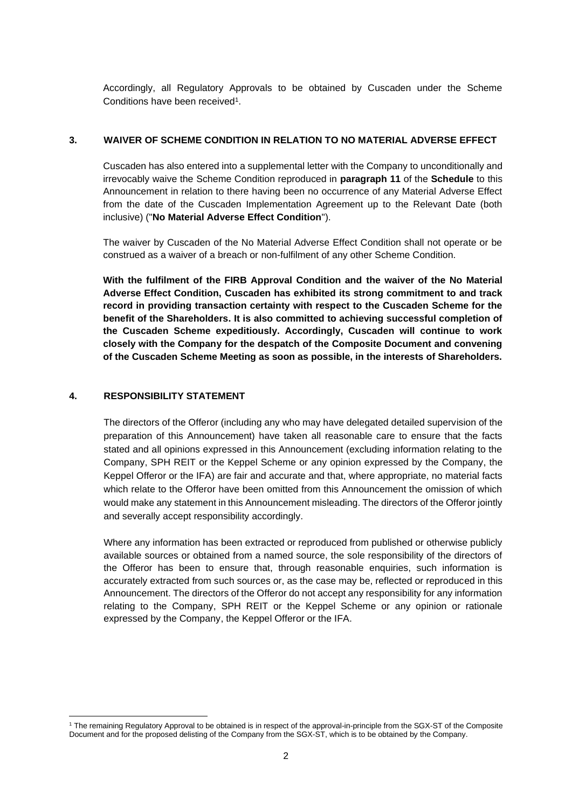Accordingly, all Regulatory Approvals to be obtained by Cuscaden under the Scheme Conditions have been received<sup>1</sup>.

## **3. WAIVER OF SCHEME CONDITION IN RELATION TO NO MATERIAL ADVERSE EFFECT**

Cuscaden has also entered into a supplemental letter with the Company to unconditionally and irrevocably waive the Scheme Condition reproduced in **paragraph 11** of the **Schedule** to this Announcement in relation to there having been no occurrence of any Material Adverse Effect from the date of the Cuscaden Implementation Agreement up to the Relevant Date (both inclusive) ("**No Material Adverse Effect Condition**").

The waiver by Cuscaden of the No Material Adverse Effect Condition shall not operate or be construed as a waiver of a breach or non-fulfilment of any other Scheme Condition.

**With the fulfilment of the FIRB Approval Condition and the waiver of the No Material Adverse Effect Condition, Cuscaden has exhibited its strong commitment to and track record in providing transaction certainty with respect to the Cuscaden Scheme for the benefit of the Shareholders. It is also committed to achieving successful completion of the Cuscaden Scheme expeditiously. Accordingly, Cuscaden will continue to work closely with the Company for the despatch of the Composite Document and convening of the Cuscaden Scheme Meeting as soon as possible, in the interests of Shareholders.**

## **4. RESPONSIBILITY STATEMENT**

The directors of the Offeror (including any who may have delegated detailed supervision of the preparation of this Announcement) have taken all reasonable care to ensure that the facts stated and all opinions expressed in this Announcement (excluding information relating to the Company, SPH REIT or the Keppel Scheme or any opinion expressed by the Company, the Keppel Offeror or the IFA) are fair and accurate and that, where appropriate, no material facts which relate to the Offeror have been omitted from this Announcement the omission of which would make any statement in this Announcement misleading. The directors of the Offeror jointly and severally accept responsibility accordingly.

Where any information has been extracted or reproduced from published or otherwise publicly available sources or obtained from a named source, the sole responsibility of the directors of the Offeror has been to ensure that, through reasonable enquiries, such information is accurately extracted from such sources or, as the case may be, reflected or reproduced in this Announcement. The directors of the Offeror do not accept any responsibility for any information relating to the Company, SPH REIT or the Keppel Scheme or any opinion or rationale expressed by the Company, the Keppel Offeror or the IFA.

<sup>1</sup> The remaining Regulatory Approval to be obtained is in respect of the approval-in-principle from the SGX-ST of the Composite Document and for the proposed delisting of the Company from the SGX-ST, which is to be obtained by the Company.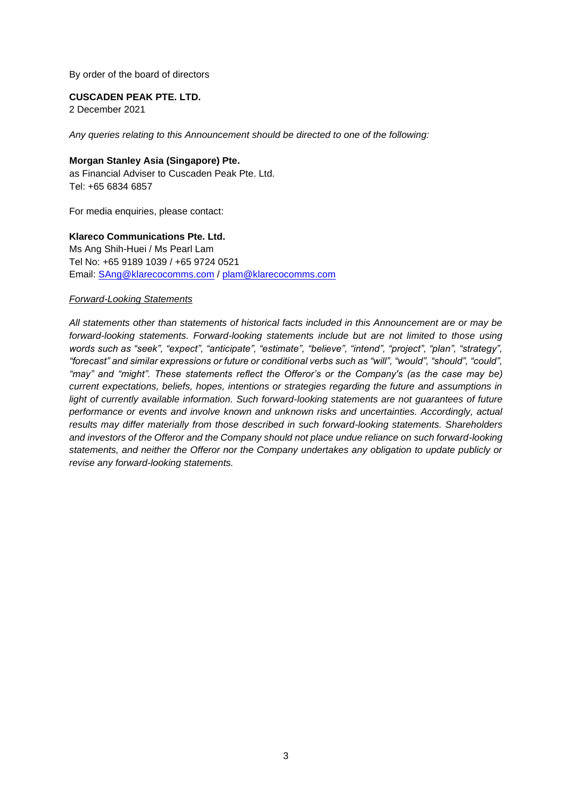By order of the board of directors

**CUSCADEN PEAK PTE. LTD.** 

2 December 2021

*Any queries relating to this Announcement should be directed to one of the following:*

### **Morgan Stanley Asia (Singapore) Pte.**

as Financial Adviser to Cuscaden Peak Pte. Ltd. Tel: +65 6834 6857

For media enquiries, please contact:

## **Klareco Communications Pte. Ltd.**

Ms Ang Shih-Huei / Ms Pearl Lam Tel No: +65 9189 1039 / +65 9724 0521 Email: [SAng@klarecocomms.com](mailto:SAng@klarecocomms.com) / [plam@klarecocomms.com](mailto:plam@klarecocomms.com)

#### *Forward-Looking Statements*

*All statements other than statements of historical facts included in this Announcement are or may be forward-looking statements. Forward-looking statements include but are not limited to those using words such as "seek", "expect", "anticipate", "estimate", "believe", "intend", "project", "plan", "strategy", "forecast" and similar expressions or future or conditional verbs such as "will", "would", "should", "could", "may" and "might". These statements reflect the Offeror's or the Company's (as the case may be) current expectations, beliefs, hopes, intentions or strategies regarding the future and assumptions in*  light of currently available information. Such forward-looking statements are not guarantees of future *performance or events and involve known and unknown risks and uncertainties. Accordingly, actual results may differ materially from those described in such forward-looking statements. Shareholders and investors of the Offeror and the Company should not place undue reliance on such forward-looking statements, and neither the Offeror nor the Company undertakes any obligation to update publicly or revise any forward-looking statements.*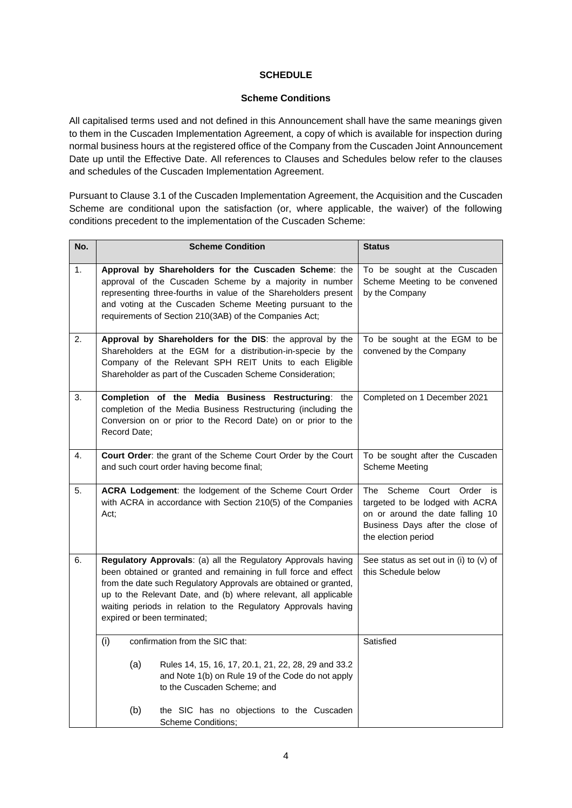## **SCHEDULE**

### **Scheme Conditions**

All capitalised terms used and not defined in this Announcement shall have the same meanings given to them in the Cuscaden Implementation Agreement, a copy of which is available for inspection during normal business hours at the registered office of the Company from the Cuscaden Joint Announcement Date up until the Effective Date. All references to Clauses and Schedules below refer to the clauses and schedules of the Cuscaden Implementation Agreement.

Pursuant to Clause 3.1 of the Cuscaden Implementation Agreement, the Acquisition and the Cuscaden Scheme are conditional upon the satisfaction (or, where applicable, the waiver) of the following conditions precedent to the implementation of the Cuscaden Scheme:

| No. | <b>Scheme Condition</b>                                                                                                                                                                                                                                                                                                                                                  |                                                                                                                                         | <b>Status</b>                                                                                                                                                  |
|-----|--------------------------------------------------------------------------------------------------------------------------------------------------------------------------------------------------------------------------------------------------------------------------------------------------------------------------------------------------------------------------|-----------------------------------------------------------------------------------------------------------------------------------------|----------------------------------------------------------------------------------------------------------------------------------------------------------------|
| 1.  | Approval by Shareholders for the Cuscaden Scheme: the<br>approval of the Cuscaden Scheme by a majority in number<br>representing three-fourths in value of the Shareholders present<br>and voting at the Cuscaden Scheme Meeting pursuant to the<br>requirements of Section 210(3AB) of the Companies Act;                                                               |                                                                                                                                         | To be sought at the Cuscaden<br>Scheme Meeting to be convened<br>by the Company                                                                                |
| 2.  | Approval by Shareholders for the DIS: the approval by the<br>Shareholders at the EGM for a distribution-in-specie by the<br>Company of the Relevant SPH REIT Units to each Eligible<br>Shareholder as part of the Cuscaden Scheme Consideration;                                                                                                                         |                                                                                                                                         | To be sought at the EGM to be<br>convened by the Company                                                                                                       |
| 3.  | Completion of the Media Business Restructuring: the<br>completion of the Media Business Restructuring (including the<br>Conversion on or prior to the Record Date) on or prior to the<br>Record Date;                                                                                                                                                                    |                                                                                                                                         | Completed on 1 December 2021                                                                                                                                   |
| 4.  | Court Order: the grant of the Scheme Court Order by the Court<br>and such court order having become final;                                                                                                                                                                                                                                                               |                                                                                                                                         | To be sought after the Cuscaden<br><b>Scheme Meeting</b>                                                                                                       |
| 5.  | ACRA Lodgement: the lodgement of the Scheme Court Order<br>with ACRA in accordance with Section 210(5) of the Companies<br>Act;                                                                                                                                                                                                                                          |                                                                                                                                         | The<br>Scheme Court Order is<br>targeted to be lodged with ACRA<br>on or around the date falling 10<br>Business Days after the close of<br>the election period |
| 6.  | Regulatory Approvals: (a) all the Regulatory Approvals having<br>been obtained or granted and remaining in full force and effect<br>from the date such Regulatory Approvals are obtained or granted,<br>up to the Relevant Date, and (b) where relevant, all applicable<br>waiting periods in relation to the Regulatory Approvals having<br>expired or been terminated; |                                                                                                                                         | See status as set out in (i) to (v) of<br>this Schedule below                                                                                                  |
|     | (i)<br>confirmation from the SIC that:                                                                                                                                                                                                                                                                                                                                   |                                                                                                                                         | Satisfied                                                                                                                                                      |
|     | (a)                                                                                                                                                                                                                                                                                                                                                                      | Rules 14, 15, 16, 17, 20.1, 21, 22, 28, 29 and 33.2<br>and Note 1(b) on Rule 19 of the Code do not apply<br>to the Cuscaden Scheme; and |                                                                                                                                                                |
|     | (b)<br><b>Scheme Conditions;</b>                                                                                                                                                                                                                                                                                                                                         | the SIC has no objections to the Cuscaden                                                                                               |                                                                                                                                                                |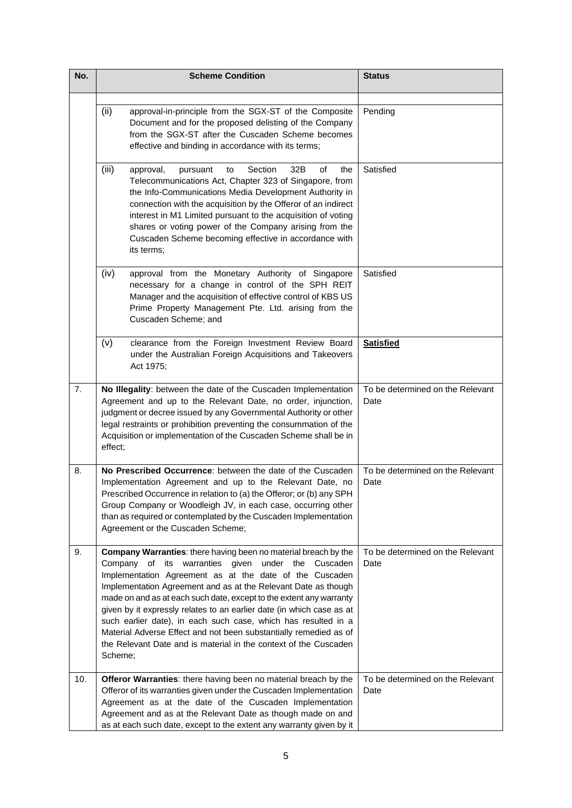| No. | <b>Scheme Condition</b>                                                                                                                                                                                                                                                                                                                                                                                                                                                                                                                                                                                                     | <b>Status</b>                            |
|-----|-----------------------------------------------------------------------------------------------------------------------------------------------------------------------------------------------------------------------------------------------------------------------------------------------------------------------------------------------------------------------------------------------------------------------------------------------------------------------------------------------------------------------------------------------------------------------------------------------------------------------------|------------------------------------------|
|     | (ii)<br>approval-in-principle from the SGX-ST of the Composite<br>Document and for the proposed delisting of the Company<br>from the SGX-ST after the Cuscaden Scheme becomes<br>effective and binding in accordance with its terms;                                                                                                                                                                                                                                                                                                                                                                                        | Pending                                  |
|     | (iii)<br>32B<br>approval,<br>Section<br>of<br>the<br>pursuant<br>to<br>Telecommunications Act, Chapter 323 of Singapore, from<br>the Info-Communications Media Development Authority in<br>connection with the acquisition by the Offeror of an indirect<br>interest in M1 Limited pursuant to the acquisition of voting<br>shares or voting power of the Company arising from the<br>Cuscaden Scheme becoming effective in accordance with<br>its terms;                                                                                                                                                                   | Satisfied                                |
|     | (iv)<br>approval from the Monetary Authority of Singapore<br>necessary for a change in control of the SPH REIT<br>Manager and the acquisition of effective control of KBS US<br>Prime Property Management Pte. Ltd. arising from the<br>Cuscaden Scheme; and                                                                                                                                                                                                                                                                                                                                                                | Satisfied                                |
|     | (v)<br>clearance from the Foreign Investment Review Board<br>under the Australian Foreign Acquisitions and Takeovers<br>Act 1975;                                                                                                                                                                                                                                                                                                                                                                                                                                                                                           | <b>Satisfied</b>                         |
| 7.  | No Illegality: between the date of the Cuscaden Implementation<br>Agreement and up to the Relevant Date, no order, injunction,<br>judgment or decree issued by any Governmental Authority or other<br>legal restraints or prohibition preventing the consummation of the<br>Acquisition or implementation of the Cuscaden Scheme shall be in<br>effect;                                                                                                                                                                                                                                                                     | To be determined on the Relevant<br>Date |
| 8.  | No Prescribed Occurrence: between the date of the Cuscaden<br>Implementation Agreement and up to the Relevant Date, no<br>Prescribed Occurrence in relation to (a) the Offeror; or (b) any SPH<br>Group Company or Woodleigh JV, in each case, occurring other<br>than as required or contemplated by the Cuscaden Implementation<br>Agreement or the Cuscaden Scheme;                                                                                                                                                                                                                                                      | To be determined on the Relevant<br>Date |
| 9.  | Company Warranties: there having been no material breach by the<br>of its warranties given under the Cuscaden<br>Company<br>Implementation Agreement as at the date of the Cuscaden<br>Implementation Agreement and as at the Relevant Date as though<br>made on and as at each such date, except to the extent any warranty<br>given by it expressly relates to an earlier date (in which case as at<br>such earlier date), in each such case, which has resulted in a<br>Material Adverse Effect and not been substantially remedied as of<br>the Relevant Date and is material in the context of the Cuscaden<br>Scheme; | To be determined on the Relevant<br>Date |
| 10. | Offeror Warranties: there having been no material breach by the<br>Offeror of its warranties given under the Cuscaden Implementation<br>Agreement as at the date of the Cuscaden Implementation<br>Agreement and as at the Relevant Date as though made on and<br>as at each such date, except to the extent any warranty given by it                                                                                                                                                                                                                                                                                       | To be determined on the Relevant<br>Date |